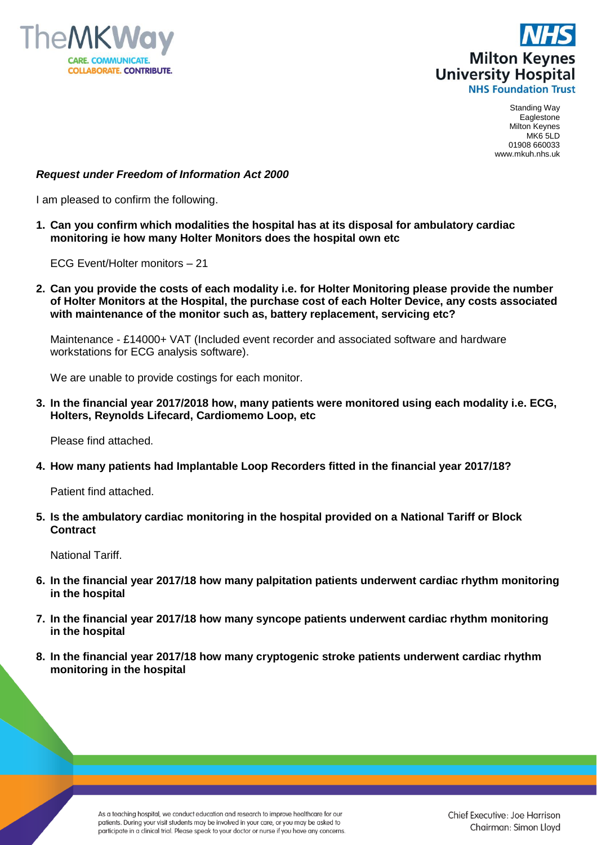



## *Request under Freedom of Information Act 2000*

I am pleased to confirm the following.

**1. Can you confirm which modalities the hospital has at its disposal for ambulatory cardiac monitoring ie how many Holter Monitors does the hospital own etc**

ECG Event/Holter monitors – 21

**2. Can you provide the costs of each modality i.e. for Holter Monitoring please provide the number of Holter Monitors at the Hospital, the purchase cost of each Holter Device, any costs associated with maintenance of the monitor such as, battery replacement, servicing etc?**

Maintenance - £14000+ VAT (Included event recorder and associated software and hardware workstations for ECG analysis software).

We are unable to provide costings for each monitor.

**3. In the financial year 2017/2018 how, many patients were monitored using each modality i.e. ECG, Holters, Reynolds Lifecard, Cardiomemo Loop, etc**

Please find attached.

**4. How many patients had Implantable Loop Recorders fitted in the financial year 2017/18?**

Patient find attached.

**5. Is the ambulatory cardiac monitoring in the hospital provided on a National Tariff or Block Contract**

National Tariff.

- **6. In the financial year 2017/18 how many palpitation patients underwent cardiac rhythm monitoring in the hospital**
- **7. In the financial year 2017/18 how many syncope patients underwent cardiac rhythm monitoring in the hospital**
- **8. In the financial year 2017/18 how many cryptogenic stroke patients underwent cardiac rhythm monitoring in the hospital**

As a teaching hospital, we conduct education and research to improve healthcare for our patients. During your visit students may be involved in your care, or you may be asked to participate in a clinical trial. Please speak to your doctor or nurse if you have any concerns.